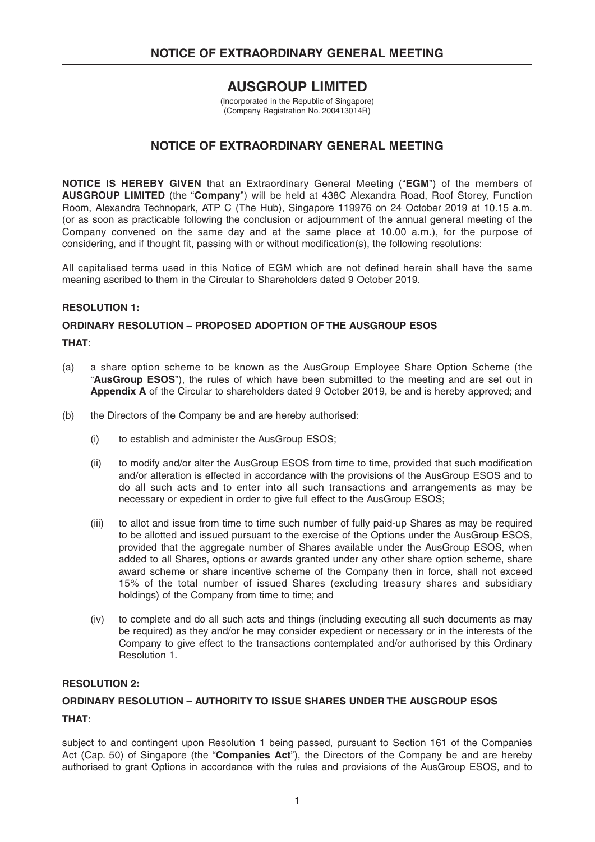# **AUSGROUP LIMITED**

(Incorporated in the Republic of Singapore) (Company Registration No. 200413014R)

# **NOTICE OF EXTRAORDINARY GENERAL MEETING**

**NOTICE IS HEREBY GIVEN** that an Extraordinary General Meeting ("**EGM**") of the members of **AUSGROUP LIMITED** (the "**Company**") will be held at 438C Alexandra Road, Roof Storey, Function Room, Alexandra Technopark, ATP C (The Hub), Singapore 119976 on 24 October 2019 at 10.15 a.m. (or as soon as practicable following the conclusion or adjournment of the annual general meeting of the Company convened on the same day and at the same place at 10.00 a.m.), for the purpose of considering, and if thought fit, passing with or without modification(s), the following resolutions:

All capitalised terms used in this Notice of EGM which are not defined herein shall have the same meaning ascribed to them in the Circular to Shareholders dated 9 October 2019.

## **RESOLUTION 1:**

## **ORDINARY RESOLUTION – PROPOSED ADOPTION OF THE AUSGROUP ESOS**

## **THAT**:

- (a) a share option scheme to be known as the AusGroup Employee Share Option Scheme (the "**AusGroup ESOS**"), the rules of which have been submitted to the meeting and are set out in **Appendix A** of the Circular to shareholders dated 9 October 2019, be and is hereby approved; and
- (b) the Directors of the Company be and are hereby authorised:
	- (i) to establish and administer the AusGroup ESOS;
	- (ii) to modify and/or alter the AusGroup ESOS from time to time, provided that such modification and/or alteration is effected in accordance with the provisions of the AusGroup ESOS and to do all such acts and to enter into all such transactions and arrangements as may be necessary or expedient in order to give full effect to the AusGroup ESOS;
	- (iii) to allot and issue from time to time such number of fully paid-up Shares as may be required to be allotted and issued pursuant to the exercise of the Options under the AusGroup ESOS, provided that the aggregate number of Shares available under the AusGroup ESOS, when added to all Shares, options or awards granted under any other share option scheme, share award scheme or share incentive scheme of the Company then in force, shall not exceed 15% of the total number of issued Shares (excluding treasury shares and subsidiary holdings) of the Company from time to time; and
	- (iv) to complete and do all such acts and things (including executing all such documents as may be required) as they and/or he may consider expedient or necessary or in the interests of the Company to give effect to the transactions contemplated and/or authorised by this Ordinary Resolution 1.

## **RESOLUTION 2:**

## **ORDINARY RESOLUTION – AUTHORITY TO ISSUE SHARES UNDER THE AUSGROUP ESOS**

# **THAT**:

subject to and contingent upon Resolution 1 being passed, pursuant to Section 161 of the Companies Act (Cap. 50) of Singapore (the "**Companies Act**"), the Directors of the Company be and are hereby authorised to grant Options in accordance with the rules and provisions of the AusGroup ESOS, and to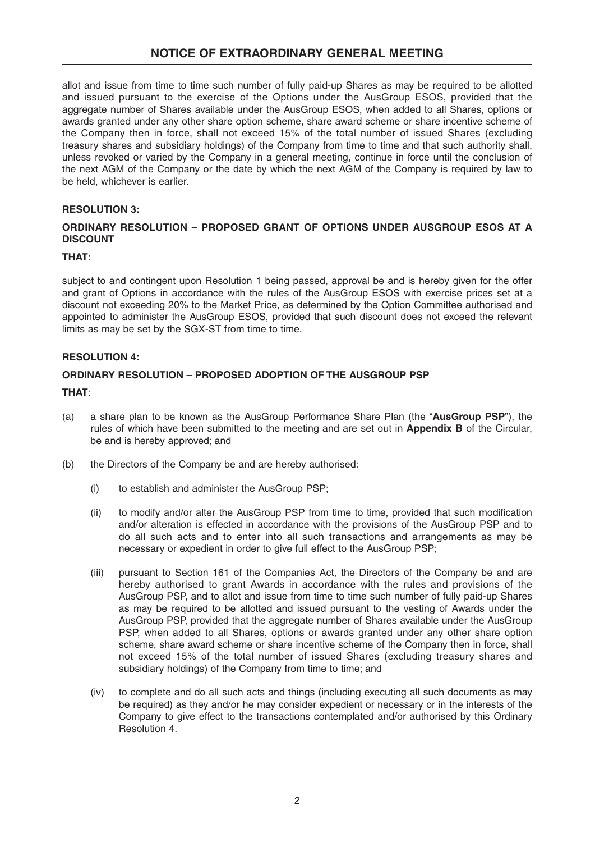allot and issue from time to time such number of fully paid-up Shares as may be required to be allotted and issued pursuant to the exercise of the Options under the AusGroup ESOS, provided that the aggregate number of Shares available under the AusGroup ESOS, when added to all Shares, options or awards granted under any other share option scheme, share award scheme or share incentive scheme of the Company then in force, shall not exceed 15% of the total number of issued Shares (excluding treasury shares and subsidiary holdings) of the Company from time to time and that such authority shall, unless revoked or varied by the Company in a general meeting, continue in force until the conclusion of the next AGM of the Company or the date by which the next AGM of the Company is required by law to be held, whichever is earlier.

## **RESOLUTION 3:**

## **ORDINARY RESOLUTION – PROPOSED GRANT OF OPTIONS UNDER AUSGROUP ESOS AT A DISCOUNT**

## **THAT**:

subject to and contingent upon Resolution 1 being passed, approval be and is hereby given for the offer and grant of Options in accordance with the rules of the AusGroup ESOS with exercise prices set at a discount not exceeding 20% to the Market Price, as determined by the Option Committee authorised and appointed to administer the AusGroup ESOS, provided that such discount does not exceed the relevant limits as may be set by the SGX-ST from time to time.

## **RESOLUTION 4:**

## **ORDINARY RESOLUTION – PROPOSED ADOPTION OF THE AUSGROUP PSP**

## **THAT**:

- (a) a share plan to be known as the AusGroup Performance Share Plan (the "**AusGroup PSP**"), the rules of which have been submitted to the meeting and are set out in **Appendix B** of the Circular, be and is hereby approved; and
- (b) the Directors of the Company be and are hereby authorised:
	- (i) to establish and administer the AusGroup PSP;
	- (ii) to modify and/or alter the AusGroup PSP from time to time, provided that such modification and/or alteration is effected in accordance with the provisions of the AusGroup PSP and to do all such acts and to enter into all such transactions and arrangements as may be necessary or expedient in order to give full effect to the AusGroup PSP;
	- (iii) pursuant to Section 161 of the Companies Act, the Directors of the Company be and are hereby authorised to grant Awards in accordance with the rules and provisions of the AusGroup PSP, and to allot and issue from time to time such number of fully paid-up Shares as may be required to be allotted and issued pursuant to the vesting of Awards under the AusGroup PSP, provided that the aggregate number of Shares available under the AusGroup PSP, when added to all Shares, options or awards granted under any other share option scheme, share award scheme or share incentive scheme of the Company then in force, shall not exceed 15% of the total number of issued Shares (excluding treasury shares and subsidiary holdings) of the Company from time to time; and
	- (iv) to complete and do all such acts and things (including executing all such documents as may be required) as they and/or he may consider expedient or necessary or in the interests of the Company to give effect to the transactions contemplated and/or authorised by this Ordinary Resolution 4.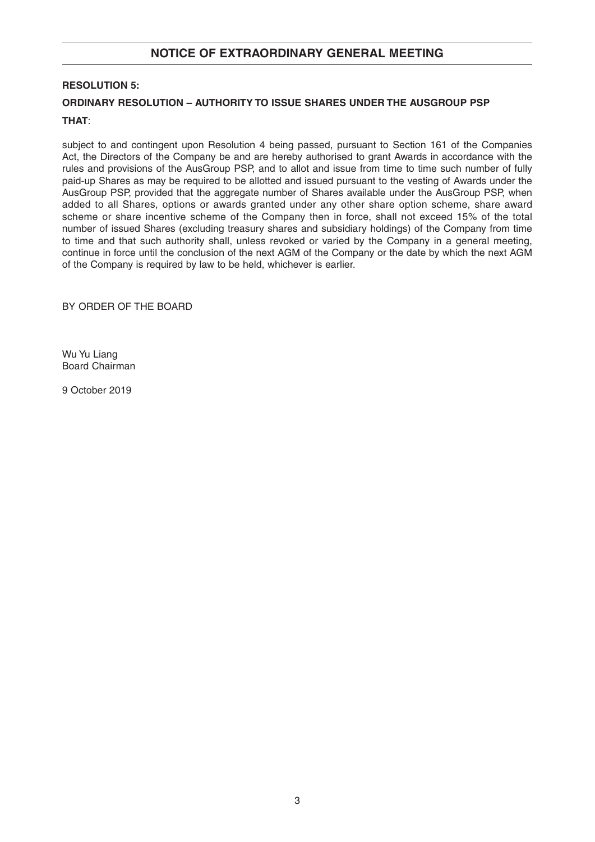## **RESOLUTION 5:**

# **ORDINARY RESOLUTION – AUTHORITY TO ISSUE SHARES UNDER THE AUSGROUP PSP**

## **THAT**:

subject to and contingent upon Resolution 4 being passed, pursuant to Section 161 of the Companies Act, the Directors of the Company be and are hereby authorised to grant Awards in accordance with the rules and provisions of the AusGroup PSP, and to allot and issue from time to time such number of fully paid-up Shares as may be required to be allotted and issued pursuant to the vesting of Awards under the AusGroup PSP, provided that the aggregate number of Shares available under the AusGroup PSP, when added to all Shares, options or awards granted under any other share option scheme, share award scheme or share incentive scheme of the Company then in force, shall not exceed 15% of the total number of issued Shares (excluding treasury shares and subsidiary holdings) of the Company from time to time and that such authority shall, unless revoked or varied by the Company in a general meeting, continue in force until the conclusion of the next AGM of the Company or the date by which the next AGM of the Company is required by law to be held, whichever is earlier.

BY ORDER OF THE BOARD

Wu Yu Liang Board Chairman

9 October 2019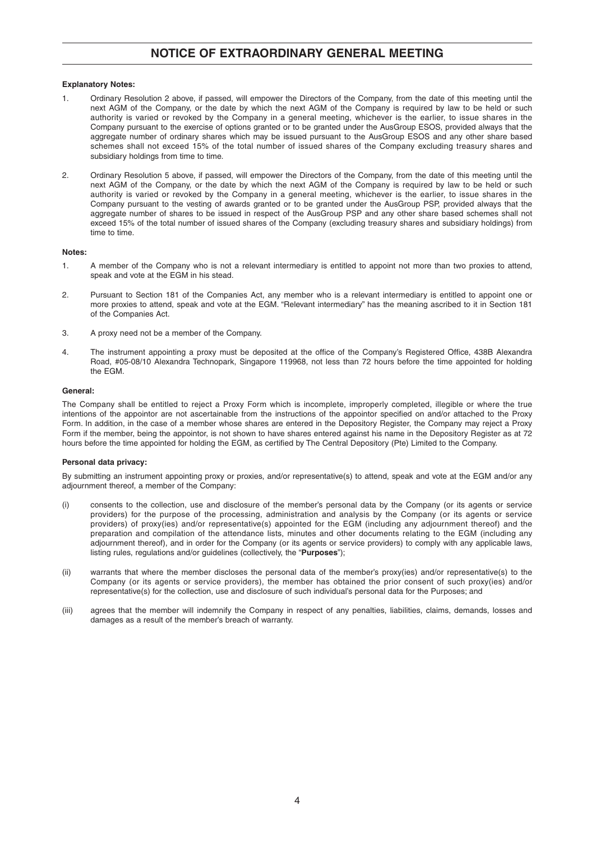### **Explanatory Notes:**

- 1. Ordinary Resolution 2 above, if passed, will empower the Directors of the Company, from the date of this meeting until the next AGM of the Company, or the date by which the next AGM of the Company is required by law to be held or such authority is varied or revoked by the Company in a general meeting, whichever is the earlier, to issue shares in the Company pursuant to the exercise of options granted or to be granted under the AusGroup ESOS, provided always that the aggregate number of ordinary shares which may be issued pursuant to the AusGroup ESOS and any other share based schemes shall not exceed 15% of the total number of issued shares of the Company excluding treasury shares and subsidiary holdings from time to time.
- 2. Ordinary Resolution 5 above, if passed, will empower the Directors of the Company, from the date of this meeting until the next AGM of the Company, or the date by which the next AGM of the Company is required by law to be held or such authority is varied or revoked by the Company in a general meeting, whichever is the earlier, to issue shares in the Company pursuant to the vesting of awards granted or to be granted under the AusGroup PSP, provided always that the aggregate number of shares to be issued in respect of the AusGroup PSP and any other share based schemes shall not exceed 15% of the total number of issued shares of the Company (excluding treasury shares and subsidiary holdings) from time to time.

### **Notes:**

- 1. A member of the Company who is not a relevant intermediary is entitled to appoint not more than two proxies to attend, speak and vote at the EGM in his stead.
- 2. Pursuant to Section 181 of the Companies Act, any member who is a relevant intermediary is entitled to appoint one or more proxies to attend, speak and vote at the EGM. "Relevant intermediary" has the meaning ascribed to it in Section 181 of the Companies Act.
- 3. A proxy need not be a member of the Company.
- 4. The instrument appointing a proxy must be deposited at the office of the Company's Registered Office, 438B Alexandra Road, #05-08/10 Alexandra Technopark, Singapore 119968, not less than 72 hours before the time appointed for holding the EGM.

### **General:**

The Company shall be entitled to reject a Proxy Form which is incomplete, improperly completed, illegible or where the true intentions of the appointor are not ascertainable from the instructions of the appointor specified on and/or attached to the Proxy Form. In addition, in the case of a member whose shares are entered in the Depository Register, the Company may reject a Proxy Form if the member, being the appointor, is not shown to have shares entered against his name in the Depository Register as at 72 hours before the time appointed for holding the EGM, as certified by The Central Depository (Pte) Limited to the Company.

### **Personal data privacy:**

By submitting an instrument appointing proxy or proxies, and/or representative(s) to attend, speak and vote at the EGM and/or any adjournment thereof, a member of the Company:

- consents to the collection, use and disclosure of the member's personal data by the Company (or its agents or service providers) for the purpose of the processing, administration and analysis by the Company (or its agents or service providers) of proxy(ies) and/or representative(s) appointed for the EGM (including any adjournment thereof) and the preparation and compilation of the attendance lists, minutes and other documents relating to the EGM (including any adjournment thereof), and in order for the Company (or its agents or service providers) to comply with any applicable laws, listing rules, regulations and/or guidelines (collectively, the "**Purposes**");
- (ii) warrants that where the member discloses the personal data of the member's proxy(ies) and/or representative(s) to the Company (or its agents or service providers), the member has obtained the prior consent of such proxy(ies) and/or representative(s) for the collection, use and disclosure of such individual's personal data for the Purposes; and
- (iii) agrees that the member will indemnify the Company in respect of any penalties, liabilities, claims, demands, losses and damages as a result of the member's breach of warranty.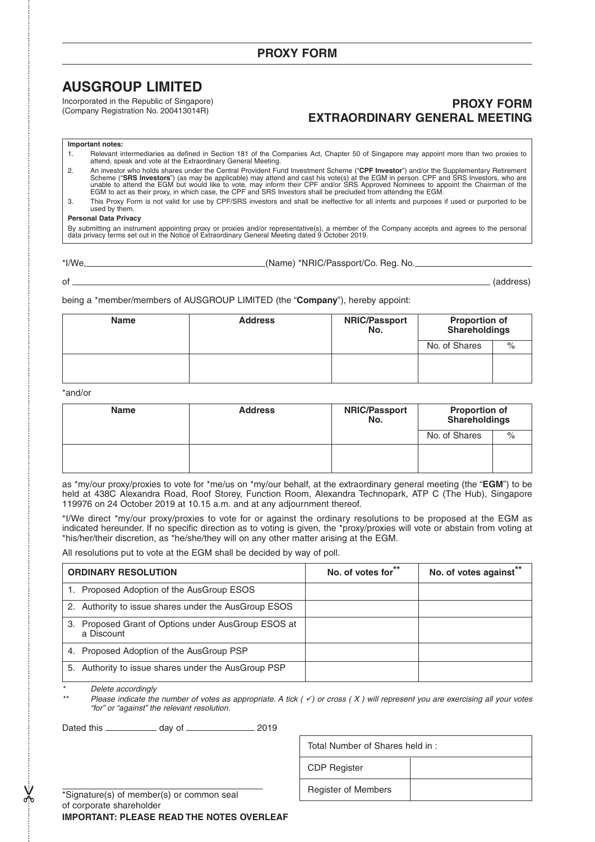# **AUSGROUP LIMITED**

Incorporated in the Republic of Singapore) (Company Registration No. 200413014R)

# **PROXY FORM EXTRAORDINARY GENERAL MEETING**

### **Important notes:**

1. Relevant intermediaries as defined in Section 181 of the Companies Act, Chapter 50 of Singapore may appoint more than two proxies to attend, speak and vote at the Extraordinary General Meeting.

2. An investor who holds shares under the Central Provident Fund Investment Scheme ("CPF Investor") and/or the Supplementary Retirement<br>Scheme ("SRS Investors") (as may be applicable) may attend and cast his vote(s) at the

3. This Proxy Form is not valid for use by CPF/SRS investors and shall be ineffective for all intents and purposes if used or purported to be used by them.

### **Personal Data Privacy**

By submitting an instrument appointing proxy or proxies and/or representative(s), a member of the Company accepts and agrees to the personal<br>data privacy terms set out in the Notice of Extraordinary General Meeting dated 9

(Name) \*NRIC/Passport/Co. Reg. No.

of (address)

being a \*member/members of AUSGROUP LIMITED (the "**Company**"), hereby appoint:

| <b>Name</b> | <b>Address</b> | <b>NRIC/Passport</b><br>No. | <b>Proportion of</b><br><b>Shareholdings</b> |      |
|-------------|----------------|-----------------------------|----------------------------------------------|------|
|             |                |                             | No. of Shares                                | $\%$ |
|             |                |                             |                                              |      |
|             |                |                             |                                              |      |

### \*and/or

| <b>Name</b> | <b>Address</b> | <b>NRIC/Passport</b><br>No. | <b>Proportion of</b><br><b>Shareholdings</b> |  |
|-------------|----------------|-----------------------------|----------------------------------------------|--|
|             |                |                             | No. of Shares                                |  |
|             |                |                             |                                              |  |

as \*my/our proxy/proxies to vote for \*me/us on \*my/our behalf, at the extraordinary general meeting (the "**EGM**") to be held at 438C Alexandra Road, Roof Storey, Function Room, Alexandra Technopark, ATP C (The Hub), Singapore 119976 on 24 October 2019 at 10.15 a.m. and at any adjournment thereof.

\*I/We direct \*my/our proxy/proxies to vote for or against the ordinary resolutions to be proposed at the EGM as indicated hereunder. If no specific direction as to voting is given, the \*proxy/proxies will vote or abstain from voting at \*his/her/their discretion, as \*he/she/they will on any other matter arising at the EGM.

All resolutions put to vote at the EGM shall be decided by way of poll.

| <b>ORDINARY RESOLUTION</b>                                           | No. of votes for** | No. of votes against** |
|----------------------------------------------------------------------|--------------------|------------------------|
| 1. Proposed Adoption of the AusGroup ESOS                            |                    |                        |
| 2. Authority to issue shares under the AusGroup ESOS                 |                    |                        |
| Proposed Grant of Options under AusGroup ESOS at<br>З.<br>a Discount |                    |                        |
| 4. Proposed Adoption of the AusGroup PSP                             |                    |                        |
| 5. Authority to issue shares under the AusGroup PSP                  |                    |                        |

\*Delete accordingly

\*\*

 $\chi$ 

Please indicate the number of votes as appropriate. A tick  $($  $\checkmark)$  or cross  $(X)$  will represent you are exercising all your votes "for" or "against" the relevant resolution.

Dated this \_\_\_\_\_\_\_\_\_\_\_\_\_ day of \_\_\_\_\_\_\_\_\_\_\_\_\_\_\_\_\_\_ 2019

Total Number of Shares held in : CDP Register Register of Members

\*Signature(s) of member(s) or common seal of corporate shareholder **IMPORTANT: PLEASE READ THE NOTES OVERLEAF**